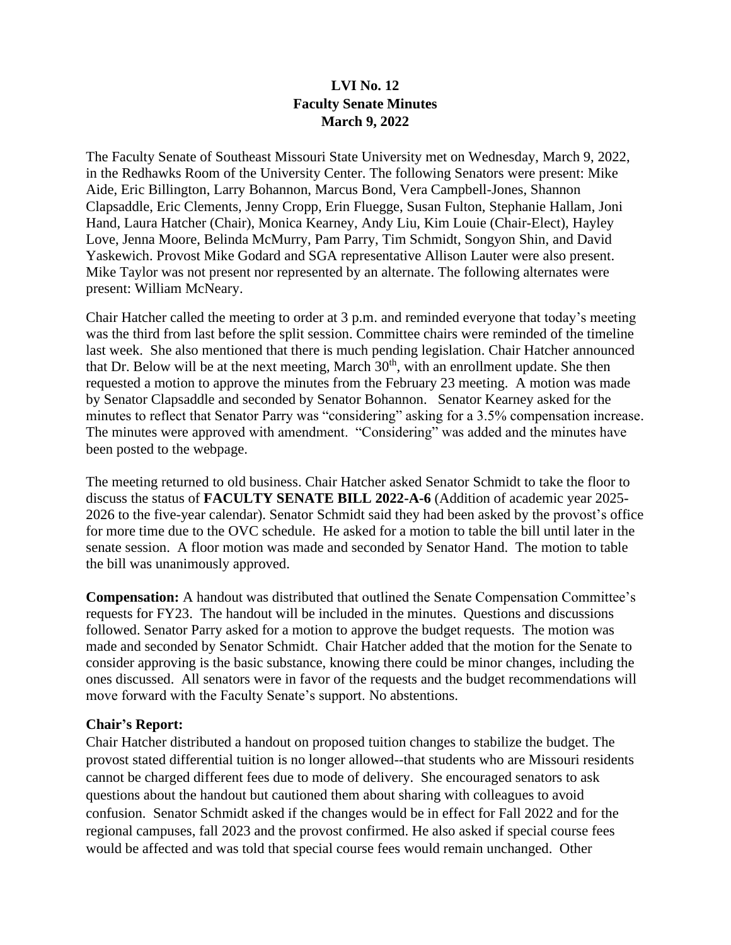# **LVI No. 12 Faculty Senate Minutes March 9, 2022**

The Faculty Senate of Southeast Missouri State University met on Wednesday, March 9, 2022, in the Redhawks Room of the University Center. The following Senators were present: Mike Aide, Eric Billington, Larry Bohannon, Marcus Bond, Vera Campbell-Jones, Shannon Clapsaddle, Eric Clements, Jenny Cropp, Erin Fluegge, Susan Fulton, Stephanie Hallam, Joni Hand, Laura Hatcher (Chair), Monica Kearney, Andy Liu, Kim Louie (Chair-Elect), Hayley Love, Jenna Moore, Belinda McMurry, Pam Parry, Tim Schmidt, Songyon Shin, and David Yaskewich. Provost Mike Godard and SGA representative Allison Lauter were also present. Mike Taylor was not present nor represented by an alternate. The following alternates were present: William McNeary.

Chair Hatcher called the meeting to order at 3 p.m. and reminded everyone that today's meeting was the third from last before the split session. Committee chairs were reminded of the timeline last week. She also mentioned that there is much pending legislation. Chair Hatcher announced that Dr. Below will be at the next meeting, March  $30<sup>th</sup>$ , with an enrollment update. She then requested a motion to approve the minutes from the February 23 meeting. A motion was made by Senator Clapsaddle and seconded by Senator Bohannon. Senator Kearney asked for the minutes to reflect that Senator Parry was "considering" asking for a 3.5% compensation increase. The minutes were approved with amendment. "Considering" was added and the minutes have been posted to the webpage.

The meeting returned to old business. Chair Hatcher asked Senator Schmidt to take the floor to discuss the status of **FACULTY SENATE BILL 2022-A-6** (Addition of academic year 2025- 2026 to the five-year calendar). Senator Schmidt said they had been asked by the provost's office for more time due to the OVC schedule. He asked for a motion to table the bill until later in the senate session. A floor motion was made and seconded by Senator Hand. The motion to table the bill was unanimously approved.

**Compensation:** A handout was distributed that outlined the Senate Compensation Committee's requests for FY23. The handout will be included in the minutes. Questions and discussions followed. Senator Parry asked for a motion to approve the budget requests. The motion was made and seconded by Senator Schmidt. Chair Hatcher added that the motion for the Senate to consider approving is the basic substance, knowing there could be minor changes, including the ones discussed. All senators were in favor of the requests and the budget recommendations will move forward with the Faculty Senate's support. No abstentions.

### **Chair's Report:**

Chair Hatcher distributed a handout on proposed tuition changes to stabilize the budget. The provost stated differential tuition is no longer allowed--that students who are Missouri residents cannot be charged different fees due to mode of delivery. She encouraged senators to ask questions about the handout but cautioned them about sharing with colleagues to avoid confusion. Senator Schmidt asked if the changes would be in effect for Fall 2022 and for the regional campuses, fall 2023 and the provost confirmed. He also asked if special course fees would be affected and was told that special course fees would remain unchanged. Other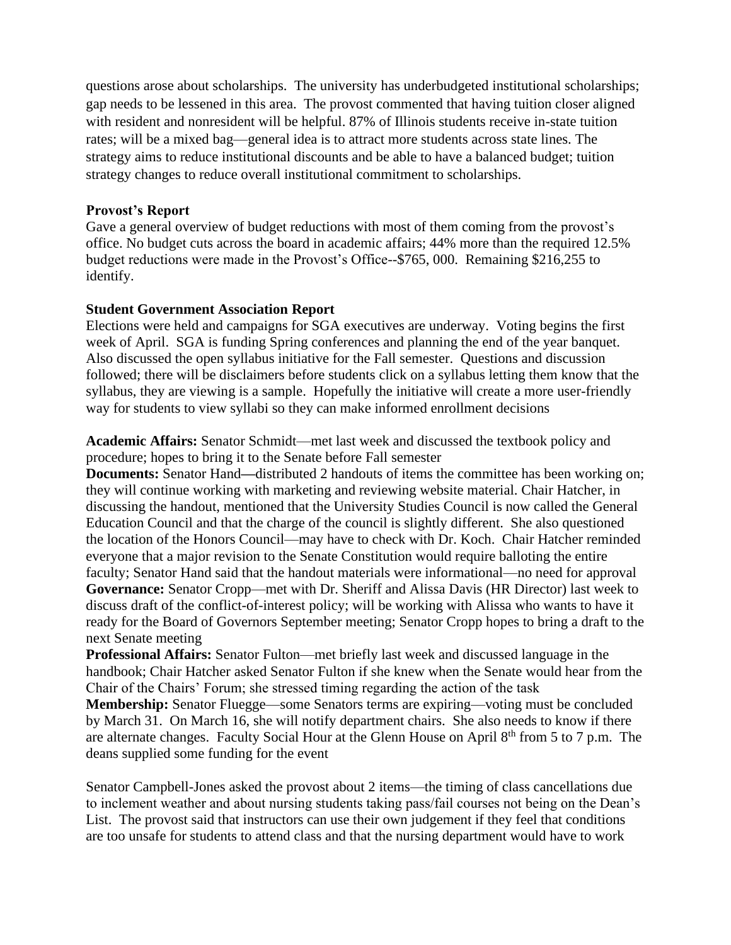questions arose about scholarships. The university has underbudgeted institutional scholarships; gap needs to be lessened in this area. The provost commented that having tuition closer aligned with resident and nonresident will be helpful. 87% of Illinois students receive in-state tuition rates; will be a mixed bag—general idea is to attract more students across state lines. The strategy aims to reduce institutional discounts and be able to have a balanced budget; tuition strategy changes to reduce overall institutional commitment to scholarships.

## **Provost's Report**

Gave a general overview of budget reductions with most of them coming from the provost's office. No budget cuts across the board in academic affairs; 44% more than the required 12.5% budget reductions were made in the Provost's Office--\$765, 000. Remaining \$216,255 to identify.

## **Student Government Association Report**

Elections were held and campaigns for SGA executives are underway. Voting begins the first week of April. SGA is funding Spring conferences and planning the end of the year banquet. Also discussed the open syllabus initiative for the Fall semester. Questions and discussion followed; there will be disclaimers before students click on a syllabus letting them know that the syllabus, they are viewing is a sample. Hopefully the initiative will create a more user-friendly way for students to view syllabi so they can make informed enrollment decisions

**Academic Affairs:** Senator Schmidt—met last week and discussed the textbook policy and procedure; hopes to bring it to the Senate before Fall semester

**Documents:** Senator Hand—distributed 2 handouts of items the committee has been working on; they will continue working with marketing and reviewing website material. Chair Hatcher, in discussing the handout, mentioned that the University Studies Council is now called the General Education Council and that the charge of the council is slightly different. She also questioned the location of the Honors Council—may have to check with Dr. Koch. Chair Hatcher reminded everyone that a major revision to the Senate Constitution would require balloting the entire faculty; Senator Hand said that the handout materials were informational—no need for approval **Governance:** Senator Cropp—met with Dr. Sheriff and Alissa Davis (HR Director) last week to discuss draft of the conflict-of-interest policy; will be working with Alissa who wants to have it ready for the Board of Governors September meeting; Senator Cropp hopes to bring a draft to the next Senate meeting

**Professional Affairs:** Senator Fulton—met briefly last week and discussed language in the handbook; Chair Hatcher asked Senator Fulton if she knew when the Senate would hear from the Chair of the Chairs' Forum; she stressed timing regarding the action of the task

**Membership:** Senator Fluegge—some Senators terms are expiring—voting must be concluded by March 31. On March 16, she will notify department chairs. She also needs to know if there are alternate changes. Faculty Social Hour at the Glenn House on April 8<sup>th</sup> from 5 to 7 p.m. The deans supplied some funding for the event

Senator Campbell-Jones asked the provost about 2 items—the timing of class cancellations due to inclement weather and about nursing students taking pass/fail courses not being on the Dean's List. The provost said that instructors can use their own judgement if they feel that conditions are too unsafe for students to attend class and that the nursing department would have to work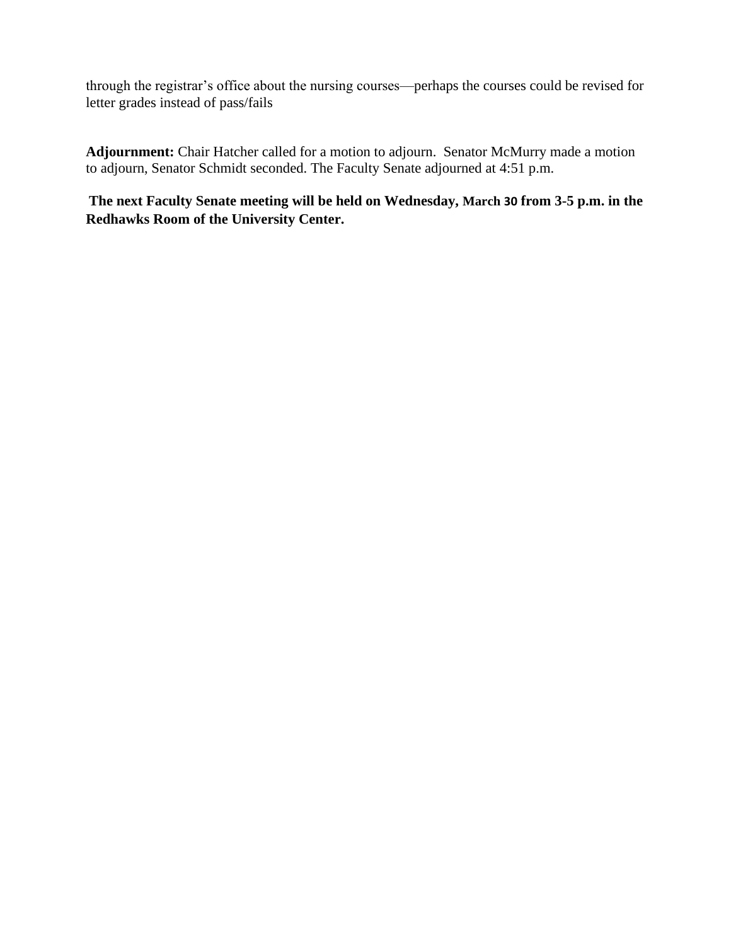through the registrar's office about the nursing courses—perhaps the courses could be revised for letter grades instead of pass/fails

**Adjournment:** Chair Hatcher called for a motion to adjourn. Senator McMurry made a motion to adjourn, Senator Schmidt seconded. The Faculty Senate adjourned at 4:51 p.m.

**The next Faculty Senate meeting will be held on Wednesday, March 30 from 3-5 p.m. in the Redhawks Room of the University Center.**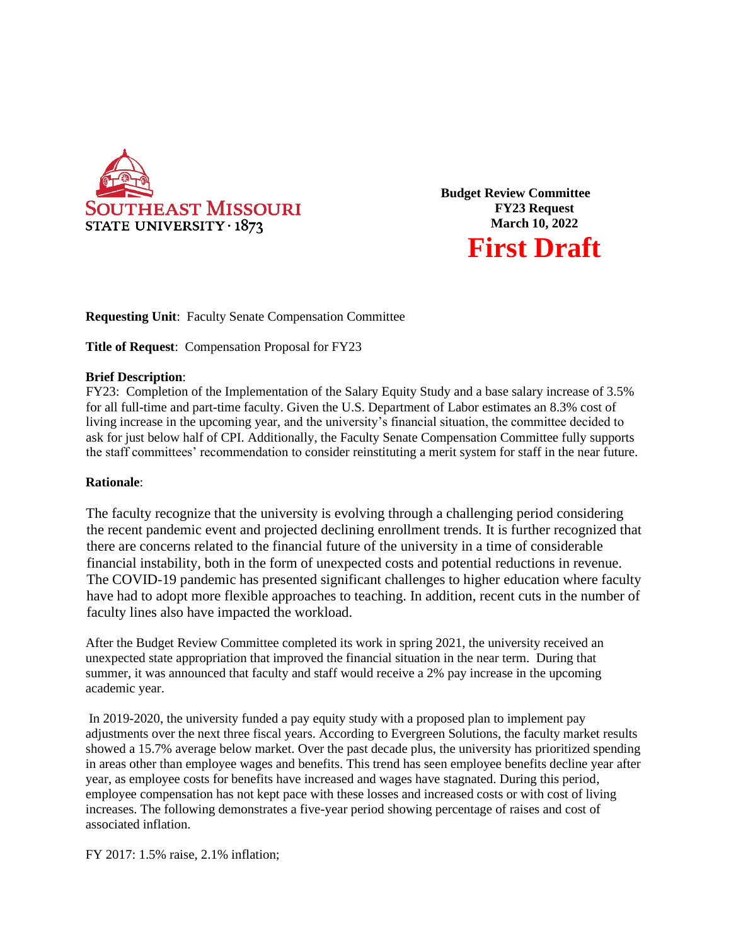

**Budget Review Committee FY23 Request March 10, 2022 First Draft**

**Requesting Unit**: Faculty Senate Compensation Committee

**Title of Request**: Compensation Proposal for FY23

### **Brief Description**:

FY23: Completion of the Implementation of the Salary Equity Study and a base salary increase of 3.5% for all full-time and part-time faculty. Given the U.S. Department of Labor estimates an 8.3% cost of living increase in the upcoming year, and the university's financial situation, the committee decided to ask for just below half of CPI. Additionally, the Faculty Senate Compensation Committee fully supports the staff committees' recommendation to consider reinstituting a merit system for staff in the near future.

### **Rationale**:

The faculty recognize that the university is evolving through a challenging period considering the recent pandemic event and projected declining enrollment trends. It is further recognized that there are concerns related to the financial future of the university in a time of considerable financial instability, both in the form of unexpected costs and potential reductions in revenue. The COVID-19 pandemic has presented significant challenges to higher education where faculty have had to adopt more flexible approaches to teaching. In addition, recent cuts in the number of faculty lines also have impacted the workload.

After the Budget Review Committee completed its work in spring 2021, the university received an unexpected state appropriation that improved the financial situation in the near term. During that summer, it was announced that faculty and staff would receive a 2% pay increase in the upcoming academic year.

In 2019-2020, the university funded a pay equity study with a proposed plan to implement pay adjustments over the next three fiscal years. According to Evergreen Solutions, the faculty market results showed a 15.7% average below market. Over the past decade plus, the university has prioritized spending in areas other than employee wages and benefits. This trend has seen employee benefits decline year after year, as employee costs for benefits have increased and wages have stagnated. During this period, employee compensation has not kept pace with these losses and increased costs or with cost of living increases. The following demonstrates a five-year period showing percentage of raises and cost of associated inflation.

FY 2017: 1.5% raise, 2.1% inflation;